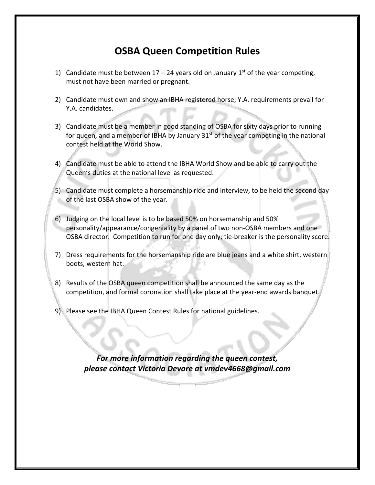## **OSBA Queen Competition Rules**

- 1) Candidate must be between 17 24 years old on January 1<sup>st</sup> of the year competing, must not have been married or pregnant.
- 2) Candidate must own and show an IBHA registered horse; Y.A. requirements prevail for Y.A. candidates.
- 3) Candidate must be a member in good standing of OSBA for sixty days prior to running for queen, and a member of IBHA by January  $31<sup>st</sup>$  of the year competing in the national contest held at the World Show.
- 4) Candidate must be able to attend the IBHA World Show and be able to carry out the Queen's duties at the national level as requested.
- 5) Candidate must complete a horsemanship ride and interview, to be held the second day of the last OSBA show of the year.
- 6) Judging on the local level is to be based 50% on horsemanship and 50% personality/appearance/congeniality by a panel of two non-OSBA members and one OSBA director. Competition to run for one day only; tie-breaker is the personality score.
- 7) Dress requirements for the horsemanship ride are blue jeans and a white shirt, western boots, western hat.
- 8) Results of the OSBA queen competition shall be announced the same day as the competition, and formal coronation shall take place at the year-end awards banquet.
- 9) Please see the IBHA Queen Contest Rules for national guidelines.

*For more information regarding the queen contest, please contact Victoria Devore at vmdev4668@gmail.com*